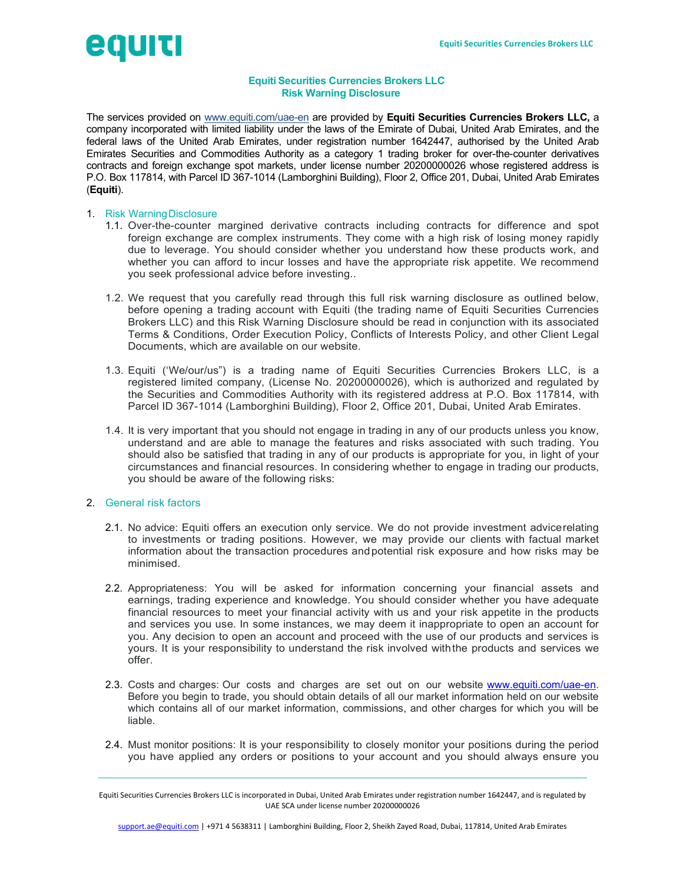

# Equiti Securities Currencies Brokers LLC Risk Warning Disclosure

The services provided on www.equiti.com/uae-en are provided by Equiti Securities Currencies Brokers LLC, a company incorporated with limited liability under the laws of the Emirate of Dubai, United Arab Emirates, and the federal laws of the United Arab Emirates, under registration number 1642447, authorised by the United Arab Emirates Securities and Commodities Authority as a category 1 trading broker for over-the-counter derivatives contracts and foreign exchange spot markets, under license number 20200000026 whose registered address is P.O. Box 117814, with Parcel ID 367-1014 (Lamborghini Building), Floor 2, Office 201, Dubai, United Arab Emirates (Equiti).

## 1. Risk Warning Disclosure

- 1.1. Over-the-counter margined derivative contracts including contracts for difference and spot foreign exchange are complex instruments. They come with a high risk of losing money rapidly due to leverage. You should consider whether you understand how these products work, and whether you can afford to incur losses and have the appropriate risk appetite. We recommend you seek professional advice before investing..
- 1.2. We request that you carefully read through this full risk warning disclosure as outlined below, before opening a trading account with Equiti (the trading name of Equiti Securities Currencies Brokers LLC) and this Risk Warning Disclosure should be read in conjunction with its associated Terms & Conditions, Order Execution Policy, Conflicts of Interests Policy, and other Client Legal Documents, which are available on our website.
- 1.3. Equiti ('We/our/us") is a trading name of Equiti Securities Currencies Brokers LLC, is a registered limited company, (License No. 20200000026), which is authorized and regulated by the Securities and Commodities Authority with its registered address at P.O. Box 117814, with Parcel ID 367-1014 (Lamborghini Building), Floor 2, Office 201, Dubai, United Arab Emirates.
- 1.4. It is very important that you should not engage in trading in any of our products unless you know, understand and are able to manage the features and risks associated with such trading. You should also be satisfied that trading in any of our products is appropriate for you, in light of your circumstances and financial resources. In considering whether to engage in trading our products, you should be aware of the following risks:

## 2. General risk factors

- 2.1. No advice: Equiti offers an execution only service. We do not provide investment advice relating to investments or trading positions. However, we may provide our clients with factual market information about the transaction procedures and potential risk exposure and how risks may be minimised.
- 2.2. Appropriateness: You will be asked for information concerning your financial assets and earnings, trading experience and knowledge. You should consider whether you have adequate financial resources to meet your financial activity with us and your risk appetite in the products and services you use. In some instances, we may deem it inappropriate to open an account for you. Any decision to open an account and proceed with the use of our products and services is yours. It is your responsibility to understand the risk involved with the products and services we offer.
- 2.3. Costs and charges: Our costs and charges are set out on our website www.equiti.com/uae-en. Before you begin to trade, you should obtain details of all our market information held on our website which contains all of our market information, commissions, and other charges for which you will be liable.
- 2.4. Must monitor positions: It is your responsibility to closely monitor your positions during the period you have applied any orders or positions to your account and you should always ensure you

Equiti Securities Currencies Brokers LLC is incorporated in Dubai, United Arab Emirates under registration number 1642447, and is regulated by UAE SCA under license number 20200000026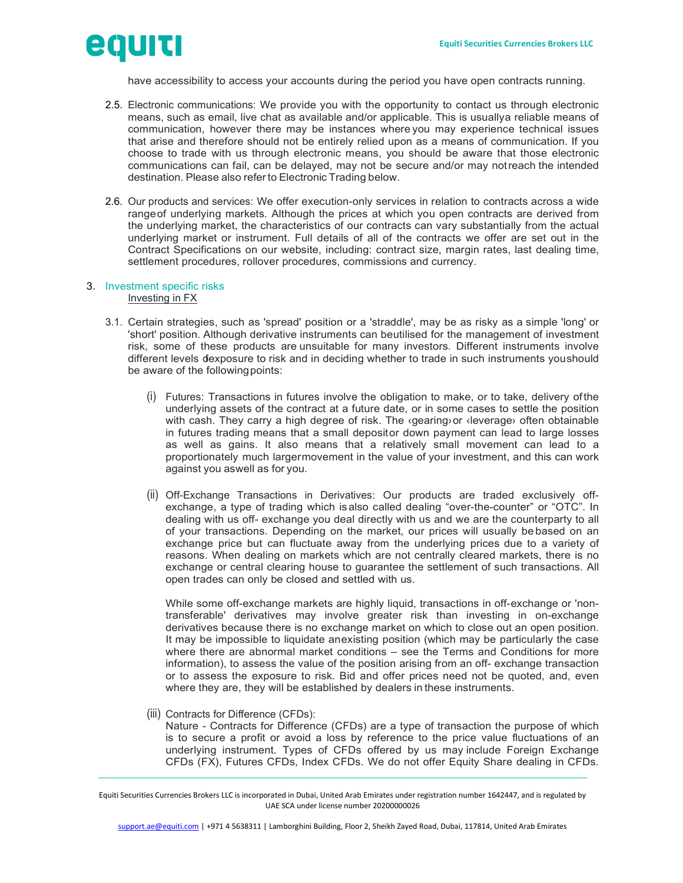

have accessibility to access your accounts during the period you have open contracts running.

- 2.5. Electronic communications: We provide you with the opportunity to contact us through electronic means, such as email, live chat as available and/or applicable. This is usuallya reliable means of communication, however there may be instances where you may experience technical issues that arise and therefore should not be entirely relied upon as a means of communication. If you choose to trade with us through electronic means, you should be aware that those electronic communications can fail, can be delayed, may not be secure and/or may not reach the intended destination. Please also refer to Electronic Trading below.
- 2.6. Our products and services: We offer execution-only services in relation to contracts across a wide range of underlying markets. Although the prices at which you open contracts are derived from the underlying market, the characteristics of our contracts can vary substantially from the actual underlying market or instrument. Full details of all of the contracts we offer are set out in the Contract Specifications on our website, including: contract size, margin rates, last dealing time, settlement procedures, rollover procedures, commissions and currency.

#### 3. Investment specific risks Investing in FX

- 3.1. Certain strategies, such as 'spread' position or a 'straddle', may be as risky as a simple 'long' or 'short' position. Although derivative instruments can beutilised for the management of investment risk, some of these products are unsuitable for many investors. Different instruments involve different levels dexposure to risk and in deciding whether to trade in such instruments you should be aware of the following points:
	- (i) Futures: Transactions in futures involve the obligation to make, or to take, delivery of the underlying assets of the contract at a future date, or in some cases to settle the position with cash. They carry a high degree of risk. The «gearing» or «leverage» often obtainable in futures trading means that a small depositor down payment can lead to large losses as well as gains. It also means that a relatively small movement can lead to a proportionately much larger movement in the value of your investment, and this can work against you aswell as for you.
	- (ii) Off-Exchange Transactions in Derivatives: Our products are traded exclusively offexchange, a type of trading which is also called dealing "over-the-counter" or "OTC". In dealing with us off- exchange you deal directly with us and we are the counterparty to all of your transactions. Depending on the market, our prices will usually be based on an exchange price but can fluctuate away from the underlying prices due to a variety of reasons. When dealing on markets which are not centrally cleared markets, there is no exchange or central clearing house to guarantee the settlement of such transactions. All open trades can only be closed and settled with us.

While some off-exchange markets are highly liquid, transactions in off-exchange or 'nontransferable' derivatives may involve greater risk than investing in on-exchange derivatives because there is no exchange market on which to close out an open position. It may be impossible to liquidate anexisting position (which may be particularly the case where there are abnormal market conditions – see the Terms and Conditions for more information), to assess the value of the position arising from an off- exchange transaction or to assess the exposure to risk. Bid and offer prices need not be quoted, and, even where they are, they will be established by dealers in these instruments.

(iii) Contracts for Difference (CFDs):

Nature - Contracts for Difference (CFDs) are a type of transaction the purpose of which is to secure a profit or avoid a loss by reference to the price value fluctuations of an underlying instrument. Types of CFDs offered by us may include Foreign Exchange CFDs (FX), Futures CFDs, Index CFDs. We do not offer Equity Share dealing in CFDs.

Equiti Securities Currencies Brokers LLC is incorporated in Dubai, United Arab Emirates under registration number 1642447, and is regulated by UAE SCA under license number 20200000026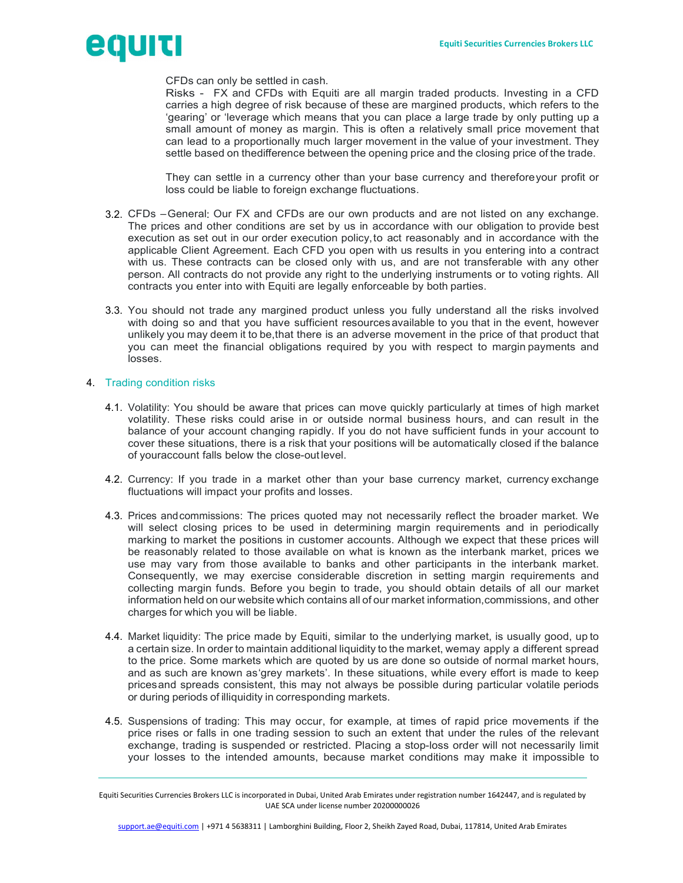

CFDs can only be settled in cash.

Risks - FX and CFDs with Equiti are all margin traded products. Investing in a CFD carries a high degree of risk because of these are margined products, which refers to the 'gearing' or 'leverage which means that you can place a large trade by only putting up a small amount of money as margin. This is often a relatively small price movement that can lead to a proportionally much larger movement in the value of your investment. They settle based on the difference between the opening price and the closing price of the trade.

They can settle in a currency other than your base currency and thereforeyour profit or loss could be liable to foreign exchange fluctuations.

- 3.2. CFDs General: Our FX and CFDs are our own products and are not listed on any exchange. The prices and other conditions are set by us in accordance with our obligation to provide best execution as set out in our order execution policy, to act reasonably and in accordance with the applicable Client Agreement. Each CFD you open with us results in you entering into a contract with us. These contracts can be closed only with us, and are not transferable with any other person. All contracts do not provide any right to the underlying instruments or to voting rights. All contracts you enter into with Equiti are legally enforceable by both parties.
- 3.3. You should not trade any margined product unless you fully understand all the risks involved with doing so and that you have sufficient resources available to you that in the event, however unlikely you may deem it to be, that there is an adverse movement in the price of that product that you can meet the financial obligations required by you with respect to margin payments and losses.

### 4. Trading condition risks

- 4.1. Volatility: You should be aware that prices can move quickly particularly at times of high market volatility. These risks could arise in or outside normal business hours, and can result in the balance of your account changing rapidly. If you do not have sufficient funds in your account to cover these situations, there is a risk that your positions will be automatically closed if the balance of your account falls below the close-out level.
- 4.2. Currency: If you trade in a market other than your base currency market, currency exchange fluctuations will impact your profits and losses.
- 4.3. Prices and commissions: The prices quoted may not necessarily reflect the broader market. We will select closing prices to be used in determining margin requirements and in periodically marking to market the positions in customer accounts. Although we expect that these prices will be reasonably related to those available on what is known as the interbank market, prices we use may vary from those available to banks and other participants in the interbank market. Consequently, we may exercise considerable discretion in setting margin requirements and collecting margin funds. Before you begin to trade, you should obtain details of all our market information held on our website which contains all of our market information, commissions, and other charges for which you will be liable.
- 4.4. Market liquidity: The price made by Equiti, similar to the underlying market, is usually good, up to a certain size. In order to maintain additional liquidity to the market, we may apply a different spread to the price. Some markets which are quoted by us are done so outside of normal market hours, and as such are known as 'grey markets'. In these situations, while every effort is made to keep prices and spreads consistent, this may not always be possible during particular volatile periods or during periods of illiquidity in corresponding markets.
- 4.5. Suspensions of trading: This may occur, for example, at times of rapid price movements if the price rises or falls in one trading session to such an extent that under the rules of the relevant exchange, trading is suspended or restricted. Placing a stop-loss order will not necessarily limit your losses to the intended amounts, because market conditions may make it impossible to

Equiti Securities Currencies Brokers LLC is incorporated in Dubai, United Arab Emirates under registration number 1642447, and is regulated by UAE SCA under license number 20200000026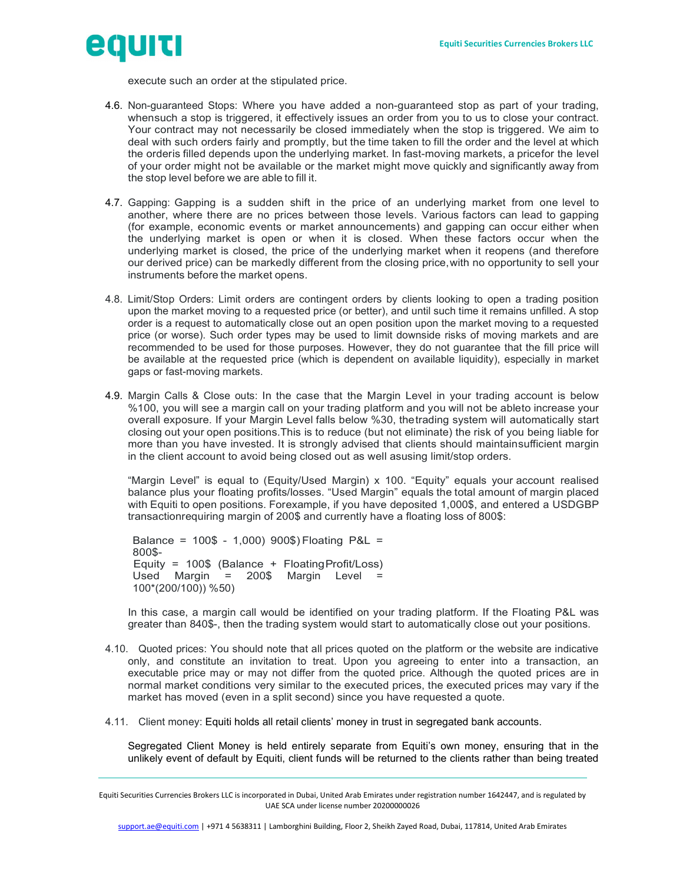

execute such an order at the stipulated price.

- 4.6. Non-guaranteed Stops: Where you have added a non-guaranteed stop as part of your trading, when such a stop is triggered, it effectively issues an order from you to us to close your contract. Your contract may not necessarily be closed immediately when the stop is triggered. We aim to deal with such orders fairly and promptly, but the time taken to fill the order and the level at which the order is filled depends upon the underlying market. In fast-moving markets, a price for the level of your order might not be available or the market might move quickly and significantly away from the stop level before we are able to fill it.
- 4.7. Gapping: Gapping is a sudden shift in the price of an underlying market from one level to another, where there are no prices between those levels. Various factors can lead to gapping (for example, economic events or market announcements) and gapping can occur either when the underlying market is open or when it is closed. When these factors occur when the underlying market is closed, the price of the underlying market when it reopens (and therefore our derived price) can be markedly different from the closing price, with no opportunity to sell your instruments before the market opens.
- 4.8. Limit/Stop Orders: Limit orders are contingent orders by clients looking to open a trading position upon the market moving to a requested price (or better), and until such time it remains unfilled. A stop order is a request to automatically close out an open position upon the market moving to a requested price (or worse). Such order types may be used to limit downside risks of moving markets and are recommended to be used for those purposes. However, they do not guarantee that the fill price will be available at the requested price (which is dependent on available liquidity), especially in market gaps or fast-moving markets.
- 4.9. Margin Calls & Close outs: In the case that the Margin Level in your trading account is below %100, you will see a margin call on your trading platform and you will not be ableto increase your overall exposure. If your Margin Level falls below %30, the trading system will automatically start closing out your open positions.This is to reduce (but not eliminate) the risk of you being liable for more than you have invested. It is strongly advised that clients should maintain sufficient margin in the client account to avoid being closed out as well as using limit/stop orders.

"Margin Level" is equal to (Equity/Used Margin) x 100. "Equity" equals your account realised balance plus your floating profits/losses. "Used Margin" equals the total amount of margin placed with Equiti to open positions. Forexample, if you have deposited 1,000\$, and entered a USDGBP transaction requiring margin of 200\$ and currently have a floating loss of 800\$:

Balance = 100\$ - 1,000) 900\$) Floating P&L = 800\$- Equity = 100\$ (Balance + Floating Profit/Loss) Used Margin = 200\$ Margin Level = 100\*(200/100)) %50)

In this case, a margin call would be identified on your trading platform. If the Floating P&L was greater than 840\$-, then the trading system would start to automatically close out your positions.

- 4.10. Quoted prices: You should note that all prices quoted on the platform or the website are indicative only, and constitute an invitation to treat. Upon you agreeing to enter into a transaction, an executable price may or may not differ from the quoted price. Although the quoted prices are in normal market conditions very similar to the executed prices, the executed prices may vary if the market has moved (even in a split second) since you have requested a quote.
- 4.11. Client money: Equiti holds all retail clients' money in trust in segregated bank accounts.

Segregated Client Money is held entirely separate from Equiti's own money, ensuring that in the unlikely event of default by Equiti, client funds will be returned to the clients rather than being treated

Equiti Securities Currencies Brokers LLC is incorporated in Dubai, United Arab Emirates under registration number 1642447, and is regulated by UAE SCA under license number 20200000026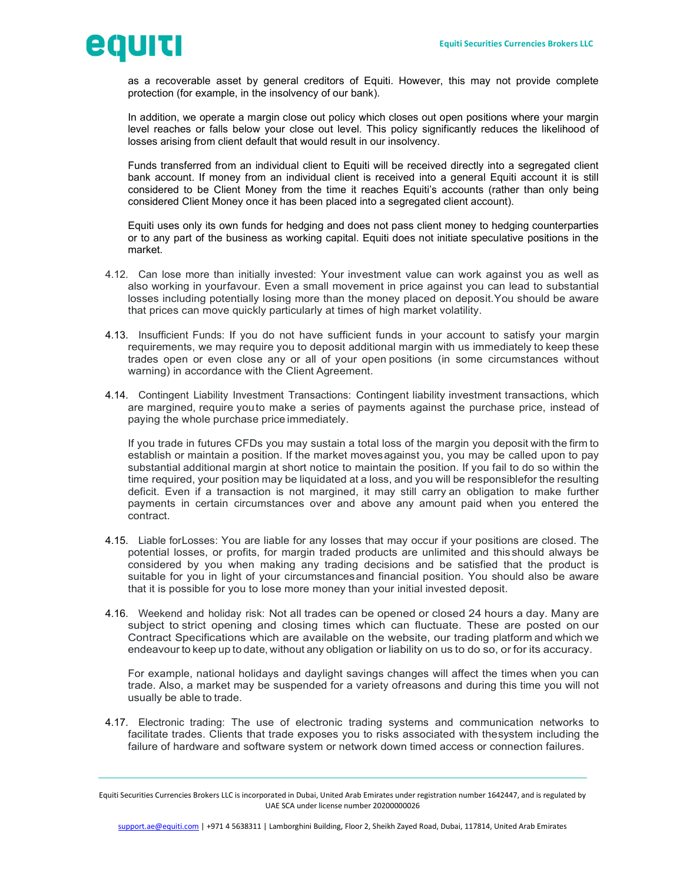

as a recoverable asset by general creditors of Equiti. However, this may not provide complete protection (for example, in the insolvency of our bank).

In addition, we operate a margin close out policy which closes out open positions where your margin level reaches or falls below your close out level. This policy significantly reduces the likelihood of losses arising from client default that would result in our insolvency.

Funds transferred from an individual client to Equiti will be received directly into a segregated client bank account. If money from an individual client is received into a general Equiti account it is still considered to be Client Money from the time it reaches Equiti's accounts (rather than only being considered Client Money once it has been placed into a segregated client account).

Equiti uses only its own funds for hedging and does not pass client money to hedging counterparties or to any part of the business as working capital. Equiti does not initiate speculative positions in the market.

- 4.12. Can lose more than initially invested: Your investment value can work against you as well as also working in yourfavour. Even a small movement in price against you can lead to substantial losses including potentially losing more than the money placed on deposit. You should be aware that prices can move quickly particularly at times of high market volatility.
- 4.13. Insufficient Funds: If you do not have sufficient funds in your account to satisfy your margin requirements, we may require you to deposit additional margin with us immediately to keep these trades open or even close any or all of your open positions (in some circumstances without warning) in accordance with the Client Agreement.
- 4.14. Contingent Liability Investment Transactions: Contingent liability investment transactions, which are margined, require you to make a series of payments against the purchase price, instead of paying the whole purchase price immediately.

If you trade in futures CFDs you may sustain a total loss of the margin you deposit with the firm to establish or maintain a position. If the market moves against you, you may be called upon to pay substantial additional margin at short notice to maintain the position. If you fail to do so within the time required, your position may be liquidated at a loss, and you will be responsible for the resulting deficit. Even if a transaction is not margined, it may still carry an obligation to make further payments in certain circumstances over and above any amount paid when you entered the contract.

- 4.15. Liable for Losses: You are liable for any losses that may occur if your positions are closed. The potential losses, or profits, for margin traded products are unlimited and this should always be considered by you when making any trading decisions and be satisfied that the product is suitable for you in light of your circumstances and financial position. You should also be aware that it is possible for you to lose more money than your initial invested deposit.
- 4.16. Weekend and holiday risk: Not all trades can be opened or closed 24 hours a day. Many are subject to strict opening and closing times which can fluctuate. These are posted on our Contract Specifications which are available on the website, our trading platform and which we endeavour to keep up to date, without any obligation or liability on us to do so, or for its accuracy.

For example, national holidays and daylight savings changes will affect the times when you can trade. Also, a market may be suspended for a variety of reasons and during this time you will not usually be able to trade.

4.17. Electronic trading: The use of electronic trading systems and communication networks to facilitate trades. Clients that trade exposes you to risks associated with the system including the failure of hardware and software system or network down timed access or connection failures.

Equiti Securities Currencies Brokers LLC is incorporated in Dubai, United Arab Emirates under registration number 1642447, and is regulated by UAE SCA under license number 20200000026